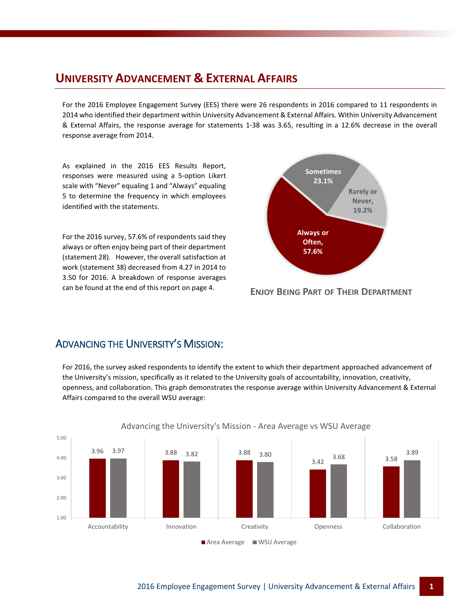#### **UNIVERSITY ADVANCEMENT & EXTERNAL AFFAIRS**

For the 2016 Employee Engagement Survey (EES) there were 26 respondents in 2016 compared to 11 respondents in 2014 who identified their department within University Advancement & External Affairs. Within University Advancement & External Affairs, the response average for statements 1-38 was 3.65, resulting in a 12.6% decrease in the overall response average from 2014.

As explained in the 2016 EES Results Report, responses were measured using a 5-option Likert scale with "Never" equaling 1 and "Always" equaling 5 to determine the frequency in which employees identified with the statements.

For the 2016 survey, 57.6% of respondents said they always or often enjoy being part of their department (statement 28). However, the overall satisfaction at work (statement 38) decreased from 4.27 in 2014 to 3.50 for 2016. A breakdown of response averages can be found at the end of this report on page 4.



**ENJOY BEING PART OF THEIR DEPARTMENT**

#### ADVANCING THE UNIVERSITY'S MISSION:

For 2016, the survey asked respondents to identify the extent to which their department approached advancement of the University's mission, specifically as it related to the University goals of accountability, innovation, creativity, openness, and collaboration. This graph demonstrates the response average within University Advancement & External Affairs compared to the overall WSU average:



#### Advancing the University's Mission - Area Average vs WSU Average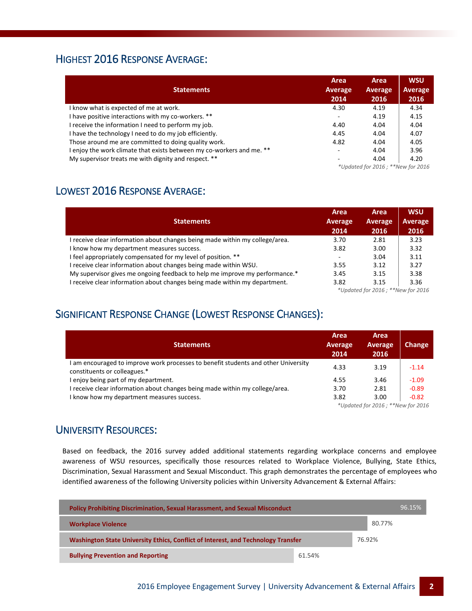## HIGHEST 2016 RESPONSE AVERAGE:

| <b>Statements</b>                                                     | Area<br><b>Average</b><br>2014                    | Area<br>Average<br>2016 | <b>WSU</b><br><b>Average</b><br>2016 |
|-----------------------------------------------------------------------|---------------------------------------------------|-------------------------|--------------------------------------|
| I know what is expected of me at work.                                | 4.30                                              | 4.19                    | 4.34                                 |
| I have positive interactions with my co-workers. **                   |                                                   | 4.19                    | 4.15                                 |
| I receive the information I need to perform my job.                   | 4.40                                              | 4.04                    | 4.04                                 |
| I have the technology I need to do my job efficiently.                | 4.45                                              | 4.04                    | 4.07                                 |
| Those around me are committed to doing quality work.                  | 4.82                                              | 4.04                    | 4.05                                 |
| l enjoy the work climate that exists between my co-workers and me. ** | $\overline{\phantom{a}}$                          | 4.04                    | 3.96                                 |
| My supervisor treats me with dignity and respect. **                  |                                                   | 4.04                    | 4.20                                 |
|                                                                       | $*$ I Indated for $2016 \cdot * *$ New for $2016$ |                         |                                      |

*\*Updated for 2016 ; \*\*New for 2016*

### LOWEST 2016 RESPONSE AVERAGE:

| <b>Statements</b>                                                            | Area<br>Average<br>2014            | Area<br>Average<br>2016 | <b>WSU</b><br>Average<br>2016 |
|------------------------------------------------------------------------------|------------------------------------|-------------------------|-------------------------------|
| I receive clear information about changes being made within my college/area. | 3.70                               | 2.81                    | 3.23                          |
| I know how my department measures success.                                   | 3.82                               | 3.00                    | 3.32                          |
| I feel appropriately compensated for my level of position. **                |                                    | 3.04                    | 3.11                          |
| I receive clear information about changes being made within WSU.             | 3.55                               | 3.12                    | 3.27                          |
| My supervisor gives me ongoing feedback to help me improve my performance.*  | 3.45                               | 3.15                    | 3.38                          |
| I receive clear information about changes being made within my department.   | 3.82                               | 3.15                    | 3.36                          |
|                                                                              | *Updated for 2016 ; **New for 2016 |                         |                               |

### SIGNIFICANT RESPONSE CHANGE (LOWEST RESPONSE CHANGES):

| <b>Statements</b>                                                                                                | Area<br>Average<br>2014           | Area<br>Average<br>2016 | Change  |
|------------------------------------------------------------------------------------------------------------------|-----------------------------------|-------------------------|---------|
| am encouraged to improve work processes to benefit students and other University<br>constituents or colleagues.* | 4.33                              | 3.19                    | $-1.14$ |
| enjoy being part of my department.                                                                               | 4.55                              | 3.46                    | $-1.09$ |
| receive clear information about changes being made within my college/area.                                       | 3.70                              | 2.81                    | $-0.89$ |
| I know how my department measures success.                                                                       | 3.82                              | 3.00                    | $-0.82$ |
|                                                                                                                  | *Updated for 2016; **New for 2016 |                         |         |

#### UNIVERSITY RESOURCES:

Based on feedback, the 2016 survey added additional statements regarding workplace concerns and employee awareness of WSU resources, specifically those resources related to Workplace Violence, Bullying, State Ethics, Discrimination, Sexual Harassment and Sexual Misconduct. This graph demonstrates the percentage of employees who identified awareness of the following University policies within University Advancement & External Affairs:

| <b>Policy Prohibiting Discrimination, Sexual Harassment, and Sexual Misconduct</b> |        | 96.15% |
|------------------------------------------------------------------------------------|--------|--------|
| <b>Workplace Violence</b>                                                          |        | 80.77% |
| Washington State University Ethics, Conflict of Interest, and Technology Transfer  |        | 76.92% |
| <b>Bullying Prevention and Reporting</b>                                           | 61.54% |        |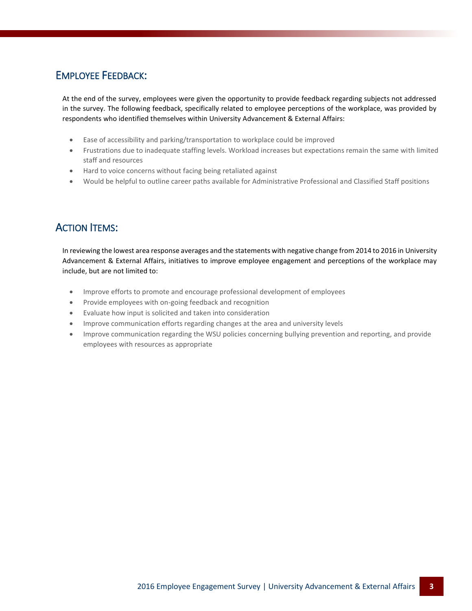#### EMPLOYEE FEEDBACK:

At the end of the survey, employees were given the opportunity to provide feedback regarding subjects not addressed in the survey. The following feedback, specifically related to employee perceptions of the workplace, was provided by respondents who identified themselves within University Advancement & External Affairs:

- Ease of accessibility and parking/transportation to workplace could be improved
- Frustrations due to inadequate staffing levels. Workload increases but expectations remain the same with limited staff and resources
- Hard to voice concerns without facing being retaliated against
- Would be helpful to outline career paths available for Administrative Professional and Classified Staff positions

### ACTION ITEMS:

In reviewing the lowest area response averages and the statements with negative change from 2014 to 2016 in University Advancement & External Affairs, initiatives to improve employee engagement and perceptions of the workplace may include, but are not limited to:

- Improve efforts to promote and encourage professional development of employees
- Provide employees with on-going feedback and recognition
- Evaluate how input is solicited and taken into consideration
- Improve communication efforts regarding changes at the area and university levels
- Improve communication regarding the WSU policies concerning bullying prevention and reporting, and provide employees with resources as appropriate